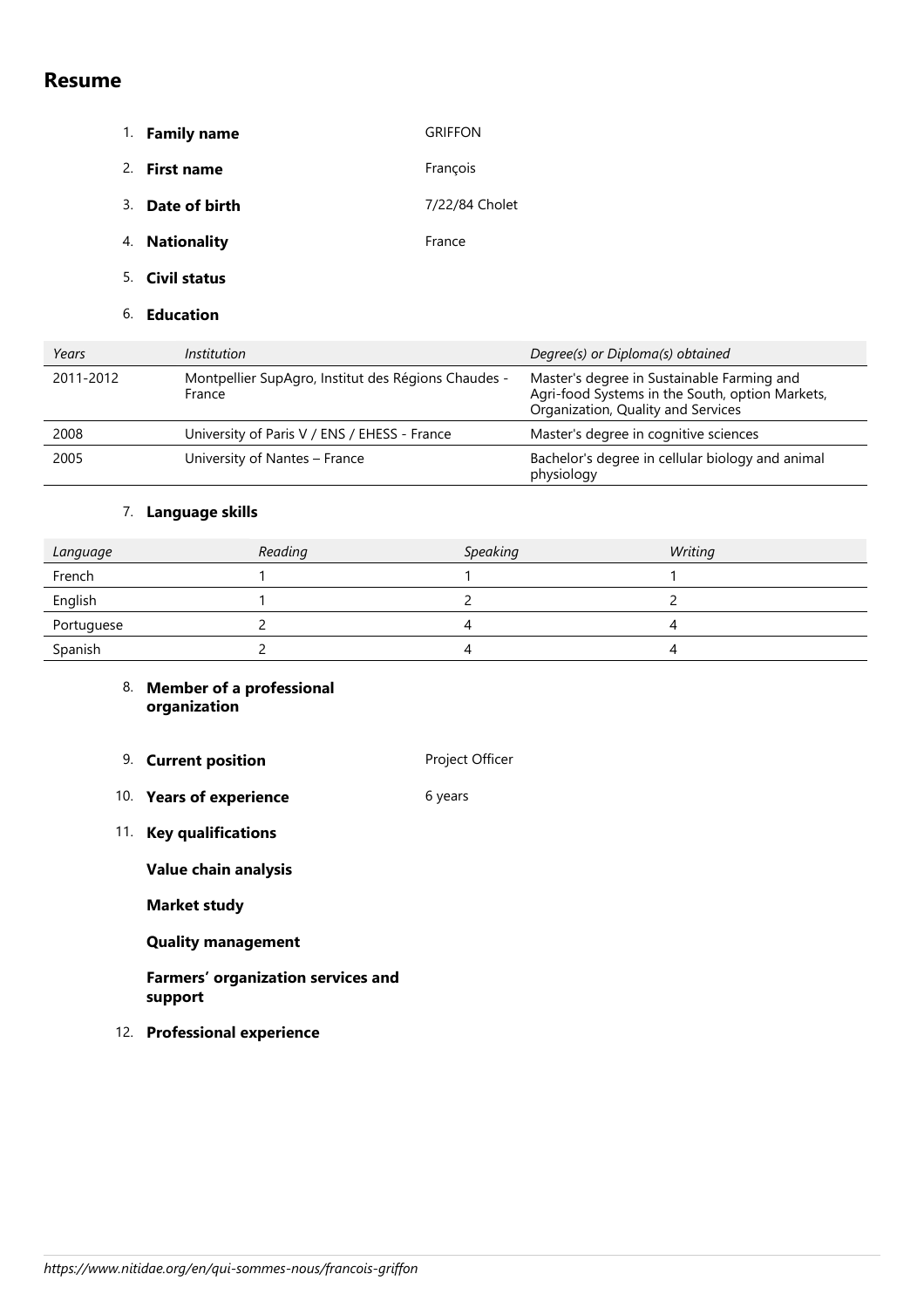## **Resume**

- 1. **Family name GRIFFON**
- 2. **First name** François
- 3. **Date of birth** 7/22/84 Cholet
- 4. **Nationality France**
- 5. **Civil status**
- 6. **Education**

| Years     | Institution                                                   | Degree(s) or Diploma(s) obtained                                                                                                    |
|-----------|---------------------------------------------------------------|-------------------------------------------------------------------------------------------------------------------------------------|
| 2011-2012 | Montpellier SupAgro, Institut des Régions Chaudes -<br>France | Master's degree in Sustainable Farming and<br>Agri-food Systems in the South, option Markets,<br>Organization, Quality and Services |
| 2008      | University of Paris V / ENS / EHESS - France                  | Master's degree in cognitive sciences                                                                                               |
| 2005      | University of Nantes – France                                 | Bachelor's degree in cellular biology and animal<br>physiology                                                                      |

## 7. **Language skills**

| Language   | Reading | <b>Speaking</b> | Writing |
|------------|---------|-----------------|---------|
| French     |         |                 |         |
| English    |         |                 |         |
| Portuguese |         | 4               |         |
| Spanish    |         | 4               |         |

## 8. **Member of a professional organization**

- 9. **Current position Project Officer**
- 10. **Years of experience** 6 years
- 11. **Key qualifications**

**Value chain analysis**

**Market study**

**Quality management**

**Farmers' organization services and support**

12. **Professional experience**